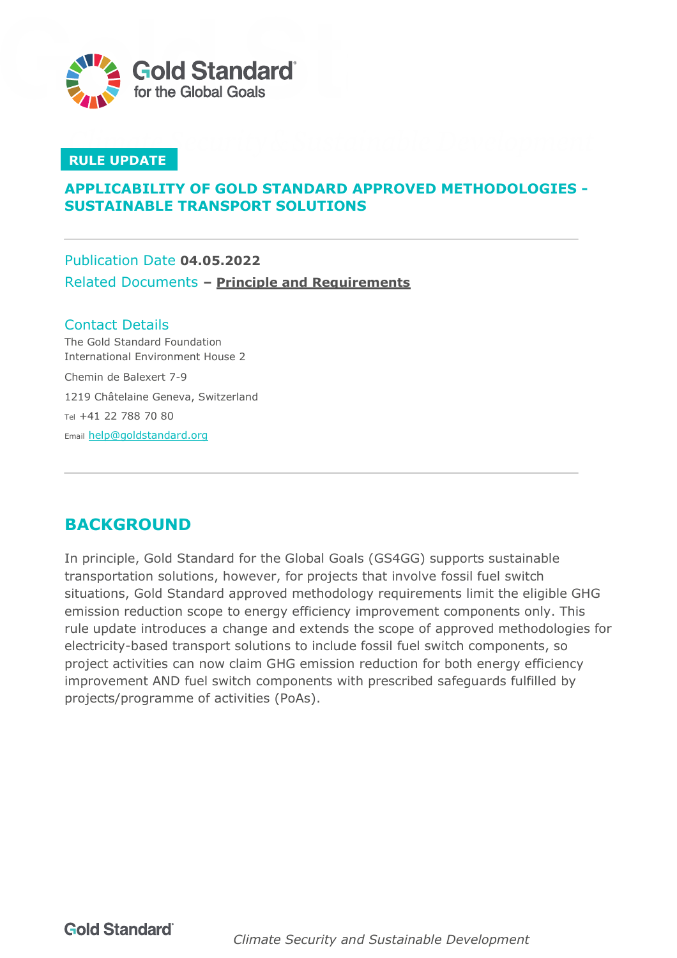

### **RULE UPDATE**

## **APPLICABILITY OF GOLD STANDARD APPROVED METHODOLOGIES - SUSTAINABLE TRANSPORT SOLUTIONS**

# Publication Date **04.05.2022** Related Documents **– [Principle and Requirements](https://globalgoals.goldstandard.org/standards/101_V1.2_PAR_Principles-Requirements.pdf)**

### Contact Details

The Gold Standard Foundation International Environment House 2 Chemin de Balexert 7-9 1219 Châtelaine Geneva, Switzerland Tel +41 22 788 70 80 Email [help@goldstandard.org](mailto:help@goldstandard.org)

# **BACKGROUND**

In principle, Gold Standard for the Global Goals (GS4GG) supports sustainable transportation solutions, however, for projects that involve fossil fuel switch situations, Gold Standard approved methodology requirements limit the eligible GHG emission reduction scope to energy efficiency improvement components only. This rule update introduces a change and extends the scope of approved methodologies for electricity-based transport solutions to include fossil fuel switch components, so project activities can now claim GHG emission reduction for both energy efficiency improvement AND fuel switch components with prescribed safeguards fulfilled by projects/programme of activities (PoAs).

**Gold Standard** 

*Climate Security and Sustainable Development*